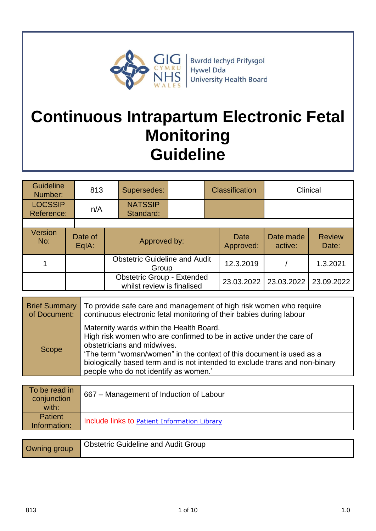

**Bwrdd lechyd Prifysgol** Hywel Dda **University Health Board** 

# **Continuous Intrapartum Electronic Fetal Monitoring Guideline**

| <b>Guideline</b><br>Number:  | 813              |              | Supersedes:                                                     |  |            | <b>Classification</b>    |                      | Clinical               |
|------------------------------|------------------|--------------|-----------------------------------------------------------------|--|------------|--------------------------|----------------------|------------------------|
| <b>LOCSSIP</b><br>Reference: | n/A              |              | <b>NATSSIP</b><br>Standard:                                     |  |            |                          |                      |                        |
|                              |                  |              |                                                                 |  |            |                          |                      |                        |
| Version<br>No:               | Date of<br>EqIA: | Approved by: |                                                                 |  |            | <b>Date</b><br>Approved: | Date made<br>active: | <b>Review</b><br>Date: |
|                              |                  |              | <b>Obstetric Guideline and Audit</b><br>Group                   |  |            | 12.3.2019                |                      | 1.3.2021               |
|                              |                  |              | <b>Obstetric Group - Extended</b><br>whilst review is finalised |  | 23.03.2022 | 23.03.2022               | 23.09.2022           |                        |

| <b>Brief Summary</b> | To provide safe care and management of high risk women who require<br>of Document:   continuous electronic fetal monitoring of their babies during labour                                                                                                                                                                                      |
|----------------------|------------------------------------------------------------------------------------------------------------------------------------------------------------------------------------------------------------------------------------------------------------------------------------------------------------------------------------------------|
| <b>Scope</b>         | Maternity wards within the Health Board.<br>High risk women who are confirmed to be in active under the care of<br>obstetricians and midwives.<br>'The term "woman/women" in the context of this document is used as a<br>biologically based term and is not intended to exclude trans and non-binary<br>people who do not identify as women.' |

| To be read in<br>conjunction<br>with: | 667 – Management of Induction of Labour      |
|---------------------------------------|----------------------------------------------|
| <b>Patient</b><br>Information:        | Include links to Patient Information Library |

| Owning group | <b>Obstetric Guideline and Audit Group</b> |
|--------------|--------------------------------------------|
|--------------|--------------------------------------------|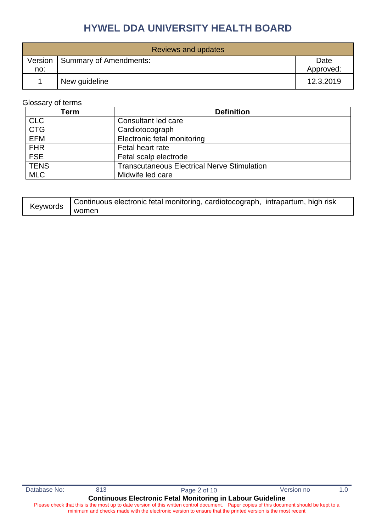| Reviews and updates |                                  |                   |  |  |
|---------------------|----------------------------------|-------------------|--|--|
| no:                 | Version   Summary of Amendments: | Date<br>Approved: |  |  |
|                     | New guideline                    | 12.3.2019         |  |  |

### Glossary of terms

| Term        | <b>Definition</b>                                  |
|-------------|----------------------------------------------------|
| <b>CLC</b>  | Consultant led care                                |
| <b>CTG</b>  | Cardiotocograph                                    |
| <b>EFM</b>  | Electronic fetal monitoring                        |
| <b>FHR</b>  | Fetal heart rate                                   |
| <b>FSE</b>  | Fetal scalp electrode                              |
| <b>TENS</b> | <b>Transcutaneous Electrical Nerve Stimulation</b> |
| <b>MLC</b>  | Midwife led care                                   |

| Keywords | Continuous electronic fetal monitoring, cardiotocograph, intrapartum, high risk |
|----------|---------------------------------------------------------------------------------|
|          | women                                                                           |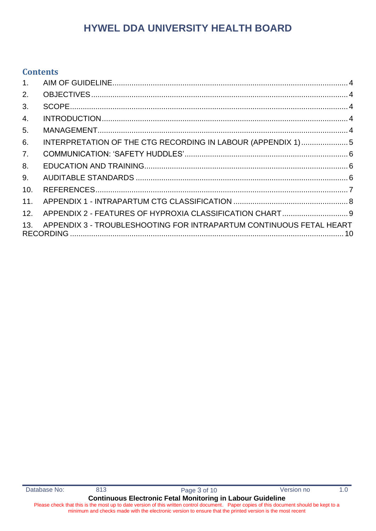## **Contents**

| 1 <sub>1</sub> |                                                                     |  |
|----------------|---------------------------------------------------------------------|--|
| 2.             |                                                                     |  |
| 3.             |                                                                     |  |
| 4.             |                                                                     |  |
| 5.             |                                                                     |  |
| 6.             | INTERPRETATION OF THE CTG RECORDING IN LABOUR (APPENDIX 1)5         |  |
| 7 <sub>1</sub> |                                                                     |  |
| 8.             |                                                                     |  |
| 9.             |                                                                     |  |
| 10.            |                                                                     |  |
| 11.            |                                                                     |  |
| 12.            | APPENDIX 2 - FEATURES OF HYPROXIA CLASSIFICATION CHART 9            |  |
| 13.            | APPENDIX 3 - TROUBLESHOOTING FOR INTRAPARTUM CONTINUOUS FETAL HEART |  |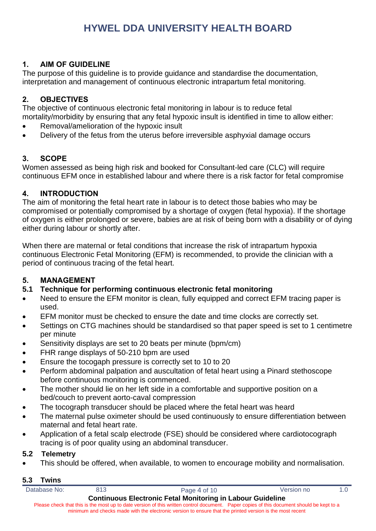#### <span id="page-3-0"></span>**1. AIM OF GUIDELINE**

The purpose of this guideline is to provide guidance and standardise the documentation, interpretation and management of continuous electronic intrapartum fetal monitoring.

#### <span id="page-3-1"></span>**2. OBJECTIVES**

The objective of continuous electronic fetal monitoring in labour is to reduce fetal mortality/morbidity by ensuring that any fetal hypoxic insult is identified in time to allow either:

- Removal/amelioration of the hypoxic insult
- Delivery of the fetus from the uterus before irreversible asphyxial damage occurs

### <span id="page-3-2"></span>**3. SCOPE**

Women assessed as being high risk and booked for Consultant-led care (CLC) will require continuous EFM once in established labour and where there is a risk factor for fetal compromise

#### <span id="page-3-3"></span>**4. INTRODUCTION**

The aim of monitoring the fetal heart rate in labour is to detect those babies who may be compromised or potentially compromised by a shortage of oxygen (fetal hypoxia). If the shortage of oxygen is either prolonged or severe, babies are at risk of being born with a disability or of dying either during labour or shortly after.

When there are maternal or fetal conditions that increase the risk of intrapartum hypoxia continuous Electronic Fetal Monitoring (EFM) is recommended, to provide the clinician with a period of continuous tracing of the fetal heart.

#### <span id="page-3-4"></span>**5. MANAGEMENT**

### **5.1 Technique for performing continuous electronic fetal monitoring**

- Need to ensure the EFM monitor is clean, fully equipped and correct EFM tracing paper is used.
- EFM monitor must be checked to ensure the date and time clocks are correctly set.
- Settings on CTG machines should be standardised so that paper speed is set to 1 centimetre per minute
- Sensitivity displays are set to 20 beats per minute (bpm/cm)
- FHR range displays of 50-210 bpm are used
- Ensure the tocogaph pressure is correctly set to 10 to 20
- Perform abdominal palpation and auscultation of fetal heart using a Pinard stethoscope before continuous monitoring is commenced.
- The mother should lie on her left side in a comfortable and supportive position on a bed/couch to prevent aorto-caval compression
- The tocograph transducer should be placed where the fetal heart was heard
- The maternal pulse oximeter should be used continuously to ensure differentiation between maternal and fetal heart rate.
- Application of a fetal scalp electrode (FSE) should be considered where cardiotocograph tracing is of poor quality using an abdominal transducer.

#### **5.2 Telemetry**

• This should be offered, when available, to women to encourage mobility and normalisation.

#### **5.3 Twins**

| Database No: | 813 | Page 4 of 10                                                                                                                              | Version no | 1.0 |
|--------------|-----|-------------------------------------------------------------------------------------------------------------------------------------------|------------|-----|
|              |     | <b>Continuous Electronic Fetal Monitoring in Labour Guideline</b>                                                                         |            |     |
|              |     | Please check that this is the most up to date version of this written control document. Paper copies of this document should be kept to a |            |     |
|              |     | minimum and checks made with the electronic version to ensure that the printed version is the most recent                                 |            |     |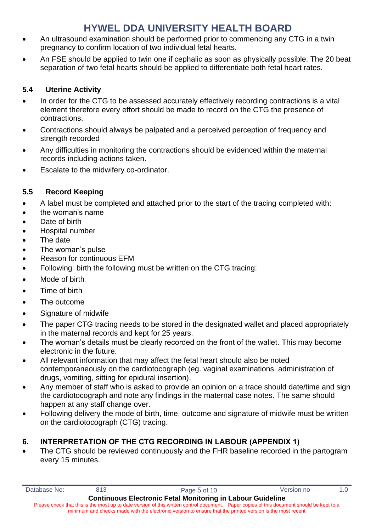- An ultrasound examination should be performed prior to commencing any CTG in a twin pregnancy to confirm location of two individual fetal hearts.
- An FSE should be applied to twin one if cephalic as soon as physically possible. The 20 beat separation of two fetal hearts should be applied to differentiate both fetal heart rates.

### **5.4 Uterine Activity**

- In order for the CTG to be assessed accurately effectively recording contractions is a vital element therefore every effort should be made to record on the CTG the presence of contractions.
- Contractions should always be palpated and a perceived perception of frequency and strength recorded
- Any difficulties in monitoring the contractions should be evidenced within the maternal records including actions taken.
- Escalate to the midwifery co-ordinator.

### **5.5 Record Keeping**

- A label must be completed and attached prior to the start of the tracing completed with:
- the woman's name
- Date of birth
- Hospital number
- The date
- The woman's pulse
- Reason for continuous EFM
- Following birth the following must be written on the CTG tracing:
- Mode of birth
- Time of birth
- The outcome
- Signature of midwife
- The paper CTG tracing needs to be stored in the designated wallet and placed appropriately in the maternal records and kept for 25 years.
- The woman's details must be clearly recorded on the front of the wallet. This may become electronic in the future.
- All relevant information that may affect the fetal heart should also be noted contemporaneously on the cardiotocograph (eg. vaginal examinations, administration of drugs, vomiting, sitting for epidural insertion).
- Any member of staff who is asked to provide an opinion on a trace should date/time and sign the cardiotocograph and note any findings in the maternal case notes. The same should happen at any staff change over.
- Following delivery the mode of birth, time, outcome and signature of midwife must be written on the cardiotocograph (CTG) tracing.

### <span id="page-4-0"></span>**6. INTERPRETATION OF THE CTG RECORDING IN LABOUR (APPENDIX 1)**

• The CTG should be reviewed continuously and the FHR baseline recorded in the partogram every 15 minutes.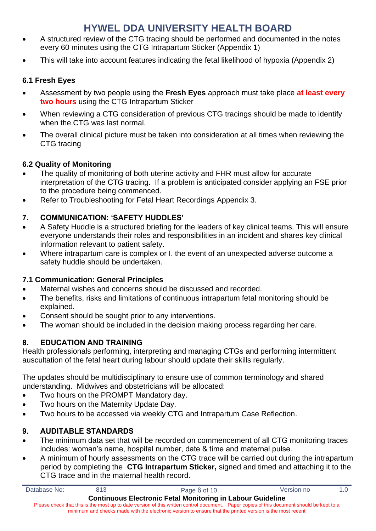- A structured review of the CTG tracing should be performed and documented in the notes every 60 minutes using the CTG Intrapartum Sticker (Appendix 1)
- This will take into account features indicating the fetal likelihood of hypoxia (Appendix 2)

### **6.1 Fresh Eyes**

- Assessment by two people using the **Fresh Eyes** approach must take place **at least every two hours** using the CTG Intrapartum Sticker
- When reviewing a CTG consideration of previous CTG tracings should be made to identify when the CTG was last normal.
- The overall clinical picture must be taken into consideration at all times when reviewing the CTG tracing

### **6.2 Quality of Monitoring**

- The quality of monitoring of both uterine activity and FHR must allow for accurate interpretation of the CTG tracing. If a problem is anticipated consider applying an FSE prior to the procedure being commenced.
- Refer to Troubleshooting for Fetal Heart Recordings Appendix 3.

### <span id="page-5-0"></span>**7. COMMUNICATION: 'SAFETY HUDDLES'**

- A Safety Huddle is a structured briefing for the leaders of key clinical teams. This will ensure everyone understands their roles and responsibilities in an incident and shares key clinical information relevant to patient safety.
- Where intrapartum care is complex or I. the event of an unexpected adverse outcome a safety huddle should be undertaken.

#### **7.1 Communication: General Principles**

- Maternal wishes and concerns should be discussed and recorded.
- The benefits, risks and limitations of continuous intrapartum fetal monitoring should be explained.
- Consent should be sought prior to any interventions.
- The woman should be included in the decision making process regarding her care.

#### <span id="page-5-1"></span>**8. EDUCATION AND TRAINING**

Health professionals performing, interpreting and managing CTGs and performing intermittent auscultation of the fetal heart during labour should update their skills regularly.

The updates should be multidisciplinary to ensure use of common terminology and shared understanding. Midwives and obstetricians will be allocated:

- Two hours on the PROMPT Mandatory day.
- Two hours on the Maternity Update Day.
- Two hours to be accessed via weekly CTG and Intrapartum Case Reflection.

#### <span id="page-5-2"></span>**9. AUDITABLE STANDARDS**

- The minimum data set that will be recorded on commencement of all CTG monitoring traces includes: woman's name, hospital number, date & time and maternal pulse.
- A minimum of hourly assessments on the CTG trace will be carried out during the intrapartum period by completing the **CTG Intrapartum Sticker,** signed and timed and attaching it to the CTG trace and in the maternal health record.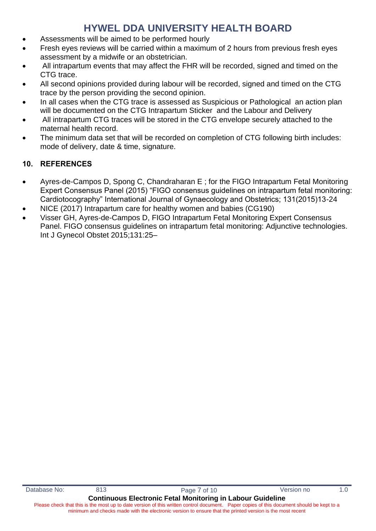- Assessments will be aimed to be performed hourly
- Fresh eyes reviews will be carried within a maximum of 2 hours from previous fresh eyes assessment by a midwife or an obstetrician.
- All intrapartum events that may affect the FHR will be recorded, signed and timed on the CTG trace.
- All second opinions provided during labour will be recorded, signed and timed on the CTG trace by the person providing the second opinion.
- In all cases when the CTG trace is assessed as Suspicious or Pathological an action plan will be documented on the CTG Intrapartum Sticker and the Labour and Delivery
- All intrapartum CTG traces will be stored in the CTG envelope securely attached to the maternal health record.
- The minimum data set that will be recorded on completion of CTG following birth includes: mode of delivery, date & time, signature.

### <span id="page-6-0"></span>**10. REFERENCES**

- Ayres-de-Campos D, Spong C, Chandraharan E ; for the FIGO Intrapartum Fetal Monitoring Expert Consensus Panel (2015) "FIGO consensus guidelines on intrapartum fetal monitoring: Cardiotocography" International Journal of Gynaecology and Obstetrics; 131(2015)13-24
- NICE (2017) Intrapartum care for healthy women and babies (CG190)
- Visser GH, Ayres-de-Campos D, FIGO Intrapartum Fetal Monitoring Expert Consensus Panel. FIGO consensus guidelines on intrapartum fetal monitoring: Adjunctive technologies. Int J Gynecol Obstet 2015;131:25–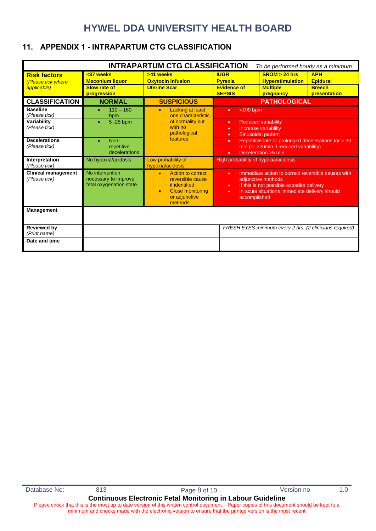### <span id="page-7-0"></span>**11. APPENDIX 1 - INTRAPARTUM CTG CLASSIFICATION**

| <b>INTRAPARTUM CTG CLASSIFICATION</b><br>To be performed hourly as a minimum |                                                                    |                                                                                                                                                                       |                                                                      |                                                                                                                                                                                        |                                                                |
|------------------------------------------------------------------------------|--------------------------------------------------------------------|-----------------------------------------------------------------------------------------------------------------------------------------------------------------------|----------------------------------------------------------------------|----------------------------------------------------------------------------------------------------------------------------------------------------------------------------------------|----------------------------------------------------------------|
| <b>Risk factors</b><br>(Please tick where<br>applicable)                     | <37 weeks<br><b>Meconium liquor</b><br>Slow rate of<br>progression | >41 weeks<br><b>Oxytocin infusion</b><br><b>Uterine Scar</b>                                                                                                          | <b>IUGR</b><br><b>Pyrexia</b><br><b>Evidence of</b><br><b>SEPSIS</b> | SROM > 24 hrs<br><b>Hyperstimulation</b><br><b>Multiple</b><br>pregnancy                                                                                                               | <b>APH</b><br><b>Epidural</b><br><b>Breech</b><br>presentation |
| <b>CLASSIFICATION</b>                                                        | <b>NORMAL</b>                                                      | <b>SUSPICIOUS</b>                                                                                                                                                     |                                                                      | <b>PATHOLOGICAL</b>                                                                                                                                                                    |                                                                |
| <b>Baseline</b><br>(Please tick)<br>Variability<br>(Please tick)             | $110 - 160$<br>$\bullet$<br>bpm<br>5 - 25 bpm                      | <b>Lacking at least</b><br>$\bullet$<br>one characteristic<br>of normality but<br>with no<br>pathological                                                             | $<$ 100 bpm<br>٠<br>٠<br>٠<br>$\bullet$                              | <b>Reduced variability</b><br>Increase variability<br>Sinusoidal pattern                                                                                                               |                                                                |
| <b>Decelerations</b><br>(Please tick)                                        | Non-<br>$\bullet$<br>repetitive<br>decelerations                   | features                                                                                                                                                              | ٠<br>٠                                                               | Repetitive late or prolonged decelerations for > 30<br>min (or >20min if reduced variability)<br>Deceleration > 5 min                                                                  |                                                                |
| Interpretation<br>(Please tick)                                              | No hypoxia/acidosis                                                | Low probability of<br>hypoxia/acidosis                                                                                                                                | High probability of hypoxia/acidosis                                 |                                                                                                                                                                                        |                                                                |
| <b>Clinical management</b><br>(Please tick)                                  | No intervention<br>necessary to improve<br>fetal oxygenation state | <b>Action to correct</b><br>$\bullet$<br>٠<br>reversible cause<br>if identified<br>$\bullet$<br><b>Close monitoring</b><br>$\bullet$<br>٠<br>or adjunctive<br>methods |                                                                      | Immediate action to correct reversible causes with<br>adjunctive methods<br>If this is not possible expedite delivery<br>In acute situations immediate delivery should<br>accomplished |                                                                |
| <b>Management</b>                                                            |                                                                    |                                                                                                                                                                       |                                                                      |                                                                                                                                                                                        |                                                                |
| <b>Reviewed by</b><br>(Print name)                                           |                                                                    |                                                                                                                                                                       |                                                                      | FRESH EYES minimum every 2 hrs. (2 clinicians required)                                                                                                                                |                                                                |
| Date and time                                                                |                                                                    |                                                                                                                                                                       |                                                                      |                                                                                                                                                                                        |                                                                |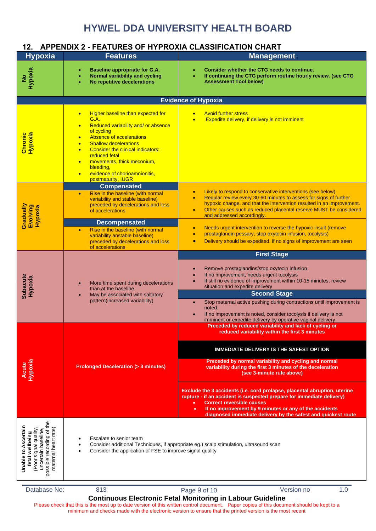### <span id="page-8-0"></span>**12. APPENDIX 2 - FEATURES OF HYPROXIA CLASSIFICATION CHART**

| <b>Hypoxia</b>                                                                                                                                 | <b>Features</b>                                                                                                                                                                                                                                                                                                                                                                                                      | <b>Management</b>                                                                                                                                                                                                                                                                                                                                                                                                                                           |  |  |
|------------------------------------------------------------------------------------------------------------------------------------------------|----------------------------------------------------------------------------------------------------------------------------------------------------------------------------------------------------------------------------------------------------------------------------------------------------------------------------------------------------------------------------------------------------------------------|-------------------------------------------------------------------------------------------------------------------------------------------------------------------------------------------------------------------------------------------------------------------------------------------------------------------------------------------------------------------------------------------------------------------------------------------------------------|--|--|
| Hypoxia<br>$\frac{1}{2}$                                                                                                                       | <b>Baseline appropriate for G.A.</b><br>Normal variability and cycling<br>No repetitive decelerations                                                                                                                                                                                                                                                                                                                | Consider whether the CTG needs to continue.<br>If continuing the CTG perform routine hourly review. (see CTG<br><b>Assessment Tool below)</b>                                                                                                                                                                                                                                                                                                               |  |  |
|                                                                                                                                                |                                                                                                                                                                                                                                                                                                                                                                                                                      | <b>Evidence of Hypoxia</b>                                                                                                                                                                                                                                                                                                                                                                                                                                  |  |  |
| Hypoxia<br>Chronic                                                                                                                             | Higher baseline than expected for<br>$\bullet$<br>G.A.<br>Reduced variability and/ or absence<br>$\bullet$<br>of cycling<br>Absence of accelerations<br>$\bullet$<br><b>Shallow decelerations</b><br>$\bullet$<br><b>Consider the clinical indicators:</b><br>$\bullet$<br>reduced fetal<br>movements, thick meconium,<br>$\bullet$<br>bleeding,<br>evidence of chorioamnionitis.<br>$\bullet$<br>postmaturity, IUGR | <b>Avoid further stress</b><br>Expedite delivery, if delivery is not imminent<br>$\bullet$                                                                                                                                                                                                                                                                                                                                                                  |  |  |
| Gradually<br>Evolving<br>Hypoxia                                                                                                               | <b>Compensated</b><br>Rise in the baseline (with normal<br>$\bullet$<br>variability and stable baseline)<br>preceded by decelerations and loss<br>of accelerations                                                                                                                                                                                                                                                   | Likely to respond to conservative interventions (see below)<br>Regular review every 30-60 minutes to assess for signs of further<br>hypoxic change, and that the intervention resulted in an improvement.<br>Other causes such as reduced placental reserve MUST be considered<br>$\bullet$<br>and addressed accordingly.                                                                                                                                   |  |  |
|                                                                                                                                                | <b>Decompensated</b><br>Rise in the baseline (with normal<br>$\bullet$<br>variability anstable baseline)<br>preceded by decelerations and loss<br>of accelerations                                                                                                                                                                                                                                                   | Needs urgent intervention to reverse the hypoxic insult (remove<br>$\bullet$<br>prostaglandin pessary, stop oxytocin infusion, tocolysis)<br>$\bullet$<br>Delivery should be expedited, if no signs of improvement are seen<br>$\bullet$                                                                                                                                                                                                                    |  |  |
|                                                                                                                                                |                                                                                                                                                                                                                                                                                                                                                                                                                      | <b>First Stage</b>                                                                                                                                                                                                                                                                                                                                                                                                                                          |  |  |
| <b>Subacute</b><br>Hypoxia                                                                                                                     | More time spent during decelerations<br>$\bullet$<br>than at the baseline<br>May be associated with saltatory<br>$\bullet$<br>pattern(increased variability)                                                                                                                                                                                                                                                         | Remove prostaglandins/stop oxytocin infusion<br>If no improvement, needs urgent tocolysis<br>If still no evidence of improvement within 10-15 minutes, review<br>situation and expedite delivery<br><b>Second Stage</b><br>Stop maternal active pushing during contractions until improvement is<br>$\bullet$<br>noted.<br>If no improvement is noted, consider tocolysis if delivery is not<br>imminent or expedite delivery by operative vaginal delivery |  |  |
|                                                                                                                                                |                                                                                                                                                                                                                                                                                                                                                                                                                      | Preceded by reduced variability and lack of cycling or<br>reduced variability within the first 3 minutes                                                                                                                                                                                                                                                                                                                                                    |  |  |
| Hypoxia<br>Acute                                                                                                                               | <b>Prolonged Deceleration (&gt; 3 minutes)</b>                                                                                                                                                                                                                                                                                                                                                                       | <b>IMMEDIATE DELIVERY IS THE SAFEST OPTION</b><br>Preceded by normal variability and cycling and normal<br>variability during the first 3 minutes of the deceleration<br>(see 3-minute rule above)                                                                                                                                                                                                                                                          |  |  |
|                                                                                                                                                |                                                                                                                                                                                                                                                                                                                                                                                                                      | Exclude the 3 accidents (i.e. cord prolapse, placental abruption, uterine<br>rupture - if an accident is suspected prepare for immediate delivery)<br><b>Correct reversible causes</b><br>If no improvement by 9 minutes or any of the accidents<br>diagnosed immediate delivery by the safest and quickest route                                                                                                                                           |  |  |
| <b>Unable to Ascertain</b><br>maternal heart rate)<br>possible recording of<br>signal quality<br>uncertain baseline<br>fetal wellbeing<br>Poor | Escalate to senior team<br>Consider additional Techniques, if appropriate eg.) scalp stimulation, ultrasound scan<br>$\bullet$<br>Consider the application of FSE to improve signal quality                                                                                                                                                                                                                          |                                                                                                                                                                                                                                                                                                                                                                                                                                                             |  |  |
| Database No:                                                                                                                                   | 813                                                                                                                                                                                                                                                                                                                                                                                                                  | Version no<br>1.0<br>Page 9 of 10<br><b>Continuous Electronic Fetal Monitoring in Labour Guideline</b>                                                                                                                                                                                                                                                                                                                                                      |  |  |

Please check that this is the most up to date version of this written control document. Paper copies of this document should be kept to a minimum and checks made with the electronic version to ensure that the printed version is the most recent